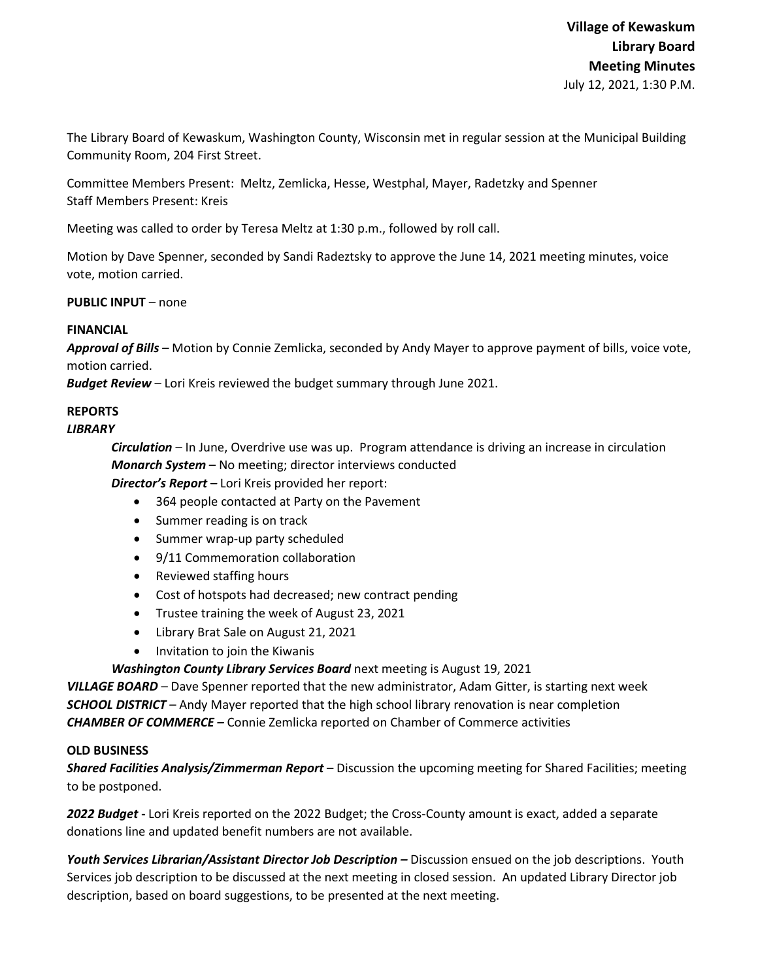The Library Board of Kewaskum, Washington County, Wisconsin met in regular session at the Municipal Building Community Room, 204 First Street.

Committee Members Present: Meltz, Zemlicka, Hesse, Westphal, Mayer, Radetzky and Spenner Staff Members Present: Kreis

Meeting was called to order by Teresa Meltz at 1:30 p.m., followed by roll call.

Motion by Dave Spenner, seconded by Sandi Radeztsky to approve the June 14, 2021 meeting minutes, voice vote, motion carried.

**PUBLIC INPUT** – none

## **FINANCIAL**

*Approval of Bills –* Motion by Connie Zemlicka, seconded by Andy Mayer to approve payment of bills, voice vote, motion carried.

*Budget Review* – Lori Kreis reviewed the budget summary through June 2021.

# **REPORTS**

## *LIBRARY*

*Circulation* – In June, Overdrive use was up. Program attendance is driving an increase in circulation *Monarch System* – No meeting; director interviews conducted *Director's Report* **–** Lori Kreis provided her report:

- 364 people contacted at Party on the Pavement
- Summer reading is on track
- Summer wrap-up party scheduled
- 9/11 Commemoration collaboration
- Reviewed staffing hours
- Cost of hotspots had decreased; new contract pending
- Trustee training the week of August 23, 2021
- Library Brat Sale on August 21, 2021
- Invitation to join the Kiwanis

### *Washington County Library Services Board* next meeting is August 19, 2021

*VILLAGE BOARD* – Dave Spenner reported that the new administrator, Adam Gitter, is starting next week *SCHOOL DISTRICT* – Andy Mayer reported that the high school library renovation is near completion *CHAMBER OF COMMERCE –* Connie Zemlicka reported on Chamber of Commerce activities

### **OLD BUSINESS**

*Shared Facilities Analysis/Zimmerman Report* – Discussion the upcoming meeting for Shared Facilities; meeting to be postponed.

*2022 Budget* **-** Lori Kreis reported on the 2022 Budget; the Cross-County amount is exact, added a separate donations line and updated benefit numbers are not available.

*Youth Services Librarian/Assistant Director Job Description –* Discussion ensued on the job descriptions. Youth Services job description to be discussed at the next meeting in closed session. An updated Library Director job description, based on board suggestions, to be presented at the next meeting.